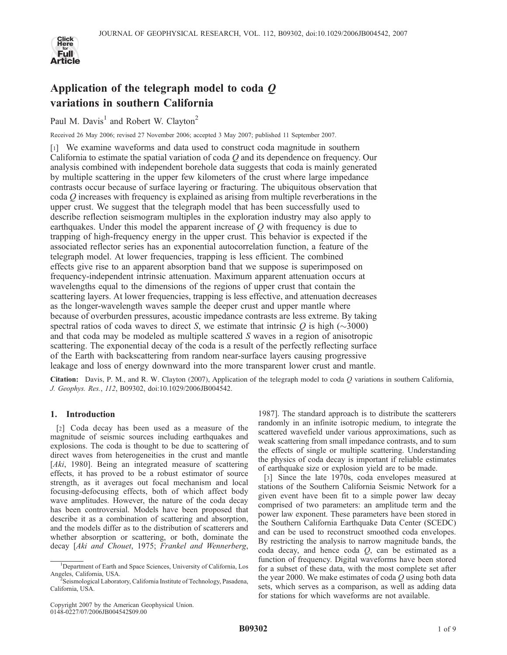

# Application of the telegraph model to coda  $Q$ variations in southern California

Paul M. Davis<sup>1</sup> and Robert W. Clavton<sup>2</sup>

Received 26 May 2006; revised 27 November 2006; accepted 3 May 2007; published 11 September 2007.

[1] We examine waveforms and data used to construct coda magnitude in southern California to estimate the spatial variation of coda  $Q$  and its dependence on frequency. Our analysis combined with independent borehole data suggests that coda is mainly generated by multiple scattering in the upper few kilometers of the crust where large impedance contrasts occur because of surface layering or fracturing. The ubiquitous observation that coda  $Q$  increases with frequency is explained as arising from multiple reverberations in the upper crust. We suggest that the telegraph model that has been successfully used to describe reflection seismogram multiples in the exploration industry may also apply to earthquakes. Under this model the apparent increase of Q with frequency is due to trapping of high-frequency energy in the upper crust. This behavior is expected if the associated reflector series has an exponential autocorrelation function, a feature of the telegraph model. At lower frequencies, trapping is less efficient. The combined effects give rise to an apparent absorption band that we suppose is superimposed on frequency-independent intrinsic attenuation. Maximum apparent attenuation occurs at wavelengths equal to the dimensions of the regions of upper crust that contain the scattering layers. At lower frequencies, trapping is less effective, and attenuation decreases as the longer-wavelength waves sample the deeper crust and upper mantle where because of overburden pressures, acoustic impedance contrasts are less extreme. By taking spectral ratios of coda waves to direct S, we estimate that intrinsic Q is high ( $\sim$ 3000) and that coda may be modeled as multiple scattered S waves in a region of anisotropic scattering. The exponential decay of the coda is a result of the perfectly reflecting surface of the Earth with backscattering from random near-surface layers causing progressive leakage and loss of energy downward into the more transparent lower crust and mantle.

**Citation:** Davis, P. M., and R. W. Clayton (2007), Application of the telegraph model to coda Q variations in southern California, J. Geophys. Res., 112, B09302, doi:10.1029/2006JB004542.

## 1. Introduction

[2] Coda decay has been used as a measure of the magnitude of seismic sources including earthquakes and explosions. The coda is thought to be due to scattering of direct waves from heterogeneities in the crust and mantle [Aki, 1980]. Being an integrated measure of scattering effects, it has proved to be a robust estimator of source strength, as it averages out focal mechanism and local focusing-defocusing effects, both of which affect body wave amplitudes. However, the nature of the coda decay has been controversial. Models have been proposed that describe it as a combination of scattering and absorption, and the models differ as to the distribution of scatterers and whether absorption or scattering, or both, dominate the decay [Aki and Chouet, 1975; Frankel and Wennerberg,

Copyright 2007 by the American Geophysical Union. 0148-0227/07/2006JB004542\$09.00

1987]. The standard approach is to distribute the scatterers randomly in an infinite isotropic medium, to integrate the scattered wavefield under various approximations, such as weak scattering from small impedance contrasts, and to sum the effects of single or multiple scattering. Understanding the physics of coda decay is important if reliable estimates of earthquake size or explosion yield are to be made.

[3] Since the late 1970s, coda envelopes measured at stations of the Southern California Seismic Network for a given event have been fit to a simple power law decay comprised of two parameters: an amplitude term and the power law exponent. These parameters have been stored in the Southern California Earthquake Data Center (SCEDC) and can be used to reconstruct smoothed coda envelopes. By restricting the analysis to narrow magnitude bands, the coda decay, and hence coda  $Q$ , can be estimated as a function of frequency. Digital waveforms have been stored for a subset of these data, with the most complete set after the year 2000. We make estimates of coda  $Q$  using both data sets, which serves as a comparison, as well as adding data for stations for which waveforms are not available.

<sup>&</sup>lt;sup>1</sup>Department of Earth and Space Sciences, University of California, Los Angeles, California, USA. <sup>2</sup>

Seismological Laboratory, California Institute of Technology, Pasadena, California, USA.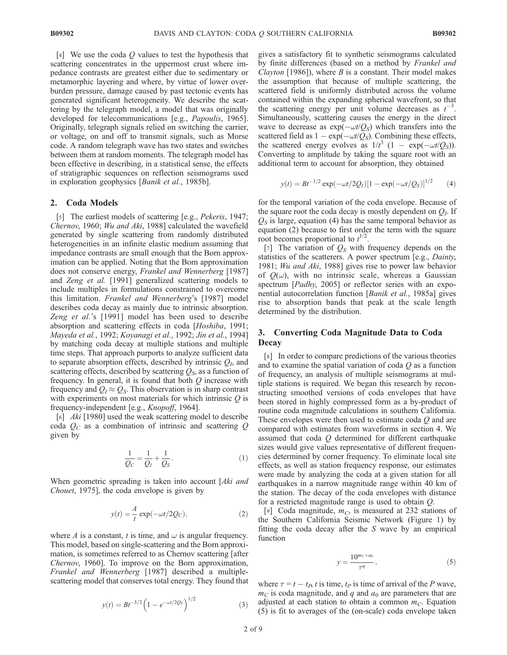[4] We use the coda  $Q$  values to test the hypothesis that scattering concentrates in the uppermost crust where impedance contrasts are greatest either due to sedimentary or metamorphic layering and where, by virtue of lower overburden pressure, damage caused by past tectonic events has generated significant heterogeneity. We describe the scattering by the telegraph model, a model that was originally developed for telecommunications [e.g., Papoulis, 1965]. Originally, telegraph signals relied on switching the carrier, or voltage, on and off to transmit signals, such as Morse code. A random telegraph wave has two states and switches between them at random moments. The telegraph model has been effective in describing, in a statistical sense, the effects of stratigraphic sequences on reflection seismograms used in exploration geophysics [Banik et al., 1985b].

### 2. Coda Models

[5] The earliest models of scattering [e.g., Pekeris, 1947; Chernov, 1960; Wu and Aki, 1988] calculated the wavefield generated by single scattering from randomly distributed heterogeneities in an infinite elastic medium assuming that impedance contrasts are small enough that the Born approximation can be applied. Noting that the Born approximation does not conserve energy, Frankel and Wennerberg [1987] and Zeng et al. [1991] generalized scattering models to include multiples in formulations constrained to overcome this limitation. Frankel and Wennerberg's [1987] model describes coda decay as mainly due to intrinsic absorption. Zeng et al.'s [1991] model has been used to describe absorption and scattering effects in coda [Hoshiba, 1991; Mayeda et al., 1992; Koyanagi et al., 1992; Jin et al., 1994] by matching coda decay at multiple stations and multiple time steps. That approach purports to analyze sufficient data to separate absorption effects, described by intrinsic  $Q<sub>I</sub>$ , and scattering effects, described by scattering  $Q<sub>S</sub>$ , as a function of frequency. In general, it is found that both  $Q$  increase with frequency and  $Q_I \approx Q_S$ . This observation is in sharp contrast with experiments on most materials for which intrinsic  $Q$  is frequency-independent [e.g., Knopoff, 1964].

[6] Aki [1980] used the weak scattering model to describe coda  $Q_C$  as a combination of intrinsic and scattering Q given by

$$
\frac{1}{Q_C} = \frac{1}{Q_I} + \frac{1}{Q_S}.\tag{1}
$$

When geometric spreading is taken into account [Aki and Chouet, 1975], the coda envelope is given by

$$
y(t) = \frac{A}{t} \exp(-\omega t/2Q_C),
$$
 (2)

where A is a constant, t is time, and  $\omega$  is angular frequency. This model, based on single-scattering and the Born approximation, is sometimes referred to as Chernov scattering [after Chernov, 1960]. To improve on the Born approximation, Frankel and Wennerberg [1987] described a multiplescattering model that conserves total energy. They found that

$$
y(t) = Bt^{-3/2} \left( 1 - e^{-\omega t/2Q_s} \right)^{1/2}
$$
 (3)

gives a satisfactory fit to synthetic seismograms calculated by finite differences (based on a method by Frankel and Clayton [1986]), where  $B$  is a constant. Their model makes the assumption that because of multiple scattering, the scattered field is uniformly distributed across the volume contained within the expanding spherical wavefront, so that the scattering energy per unit volume decreases as  $t^{-3}$ . Simultaneously, scattering causes the energy in the direct wave to decrease as  $\exp(-\omega t/Q_s)$  which transfers into the scattered field as  $1 - \exp(-\omega t/Q_S)$ . Combining these effects, the scattered energy evolves as  $1/t^3$   $(1 - \exp(-\omega t/Q_S))$ . Converting to amplitude by taking the square root with an additional term to account for absorption, they obtained

$$
y(t) = Bt^{-3/2} \exp(-\omega t/2Q_I)[1 - \exp(-\omega t/Q_S)]^{1/2}
$$
 (4)

for the temporal variation of the coda envelope. Because of the square root the coda decay is mostly dependent on  $Q_I$ . If  $Q<sub>S</sub>$  is large, equation (4) has the same temporal behavior as equation (2) because to first order the term with the square root becomes proportional to  $t^{1/2}$ .

[7] The variation of  $Q_S$  with frequency depends on the statistics of the scatterers. A power spectrum [e.g., *Dainty*, 1981; Wu and Aki, 1988] gives rise to power law behavior of  $Q(\omega)$ , with no intrinsic scale, whereas a Gaussian spectrum [*Padhy*, 2005] or reflector series with an exponential autocorrelation function [Banik et al., 1985a] gives rise to absorption bands that peak at the scale length determined by the distribution.

# 3. Converting Coda Magnitude Data to Coda **Decay**

[8] In order to compare predictions of the various theories and to examine the spatial variation of coda  $Q$  as a function of frequency, an analysis of multiple seismograms at multiple stations is required. We began this research by reconstructing smoothed versions of coda envelopes that have been stored in highly compressed form as a by-product of routine coda magnitude calculations in southern California. These envelopes were then used to estimate coda  $Q$  and are compared with estimates from waveforms in section 4. We assumed that coda Q determined for different earthquake sizes would give values representative of different frequencies determined by corner frequency. To eliminate local site effects, as well as station frequency response, our estimates were made by analyzing the coda at a given station for all earthquakes in a narrow magnitude range within 40 km of the station. The decay of the coda envelopes with distance for a restricted magnitude range is used to obtain Q.

[9] Coda magnitude,  $m<sub>C</sub>$ , is measured at 232 stations of the Southern California Seismic Network (Figure 1) by fitting the coda decay after the  $S$  wave by an empirical function

$$
y = \frac{10^{m_c + a_0}}{\tau^q},\tag{5}
$$

where  $\tau = t - t_P$ , t is time,  $t_P$  is time of arrival of the P wave,  $m<sub>C</sub>$  is coda magnitude, and q and  $a<sub>0</sub>$  are parameters that are adjusted at each station to obtain a common  $m<sub>C</sub>$ . Equation (5) is fit to averages of the (on-scale) coda envelope taken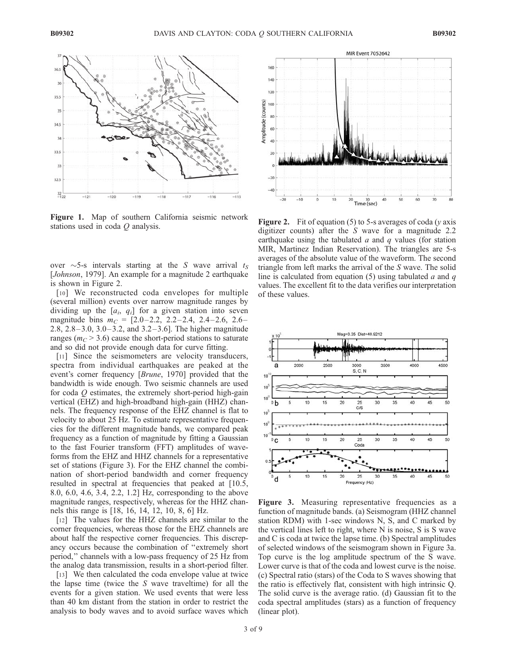

Figure 1. Map of southern California seismic network Figure 1. Map of solution Cambridge Seismic fields of  $\mathbf{Figure 2.}$  Fit of equation (5) to 5-s averages of coda (y axis stations used in coda Q analysis.

over  $\sim$  5-s intervals starting at the S wave arrival  $t_s$ [*Johnson*, 1979]. An example for a magnitude 2 earthquake is shown in Figure 2.

[10] We reconstructed coda envelopes for multiple (several million) events over narrow magnitude ranges by dividing up the  $[a_i, q_i]$  for a given station into seven magnitude bins  $m<sub>C</sub> = [2.0-2.2, 2.2-2.4, 2.4-2.6, 2.6-$ 2.8,  $2.8 - 3.0$ ,  $3.0 - 3.2$ , and  $3.2 - 3.6$ ]. The higher magnitude ranges ( $m<sub>C</sub> > 3.6$ ) cause the short-period stations to saturate and so did not provide enough data for curve fitting.

[11] Since the seismometers are velocity transducers, spectra from individual earthquakes are peaked at the event's corner frequency [Brune, 1970] provided that the bandwidth is wide enough. Two seismic channels are used for coda  $O$  estimates, the extremely short-period high-gain vertical (EHZ) and high-broadband high-gain (HHZ) channels. The frequency response of the EHZ channel is flat to velocity to about 25 Hz. To estimate representative frequencies for the different magnitude bands, we compared peak frequency as a function of magnitude by fitting a Gaussian to the fast Fourier transform (FFT) amplitudes of waveforms from the EHZ and HHZ channels for a representative set of stations (Figure 3). For the EHZ channel the combination of short-period bandwidth and corner frequency resulted in spectral at frequencies that peaked at [10.5, 8.0, 6.0, 4.6, 3.4, 2.2, 1.2] Hz, corresponding to the above magnitude ranges, respectively, whereas for the HHZ channels this range is [18, 16, 14, 12, 10, 8, 6] Hz.

[12] The values for the HHZ channels are similar to the corner frequencies, whereas those for the EHZ channels are about half the respective corner frequencies. This discrepancy occurs because the combination of ''extremely short period,'' channels with a low-pass frequency of 25 Hz from the analog data transmission, results in a short-period filter.

[13] We then calculated the coda envelope value at twice the lapse time (twice the  $S$  wave traveltime) for all the events for a given station. We used events that were less than 40 km distant from the station in order to restrict the analysis to body waves and to avoid surface waves which



digitizer counts) after the S wave for a magnitude 2.2 earthquake using the tabulated  $a$  and  $q$  values (for station MIR, Martinez Indian Reservation). The triangles are 5-s averages of the absolute value of the waveform. The second triangle from left marks the arrival of the S wave. The solid line is calculated from equation (5) using tabulated  $a$  and  $q$ values. The excellent fit to the data verifies our interpretation of these values.



Figure 3. Measuring representative frequencies as a function of magnitude bands. (a) Seismogram (HHZ channel station RDM) with 1-sec windows N, S, and C marked by the vertical lines left to right, where N is noise, S is S wave and C is coda at twice the lapse time. (b) Spectral amplitudes of selected windows of the seismogram shown in Figure 3a. Top curve is the log amplitude spectrum of the S wave. Lower curve is that of the coda and lowest curve is the noise. (c) Spectral ratio (stars) of the Coda to S waves showing that the ratio is effectively flat, consistent with high intrinsic Q. The solid curve is the average ratio. (d) Gaussian fit to the coda spectral amplitudes (stars) as a function of frequency (linear plot).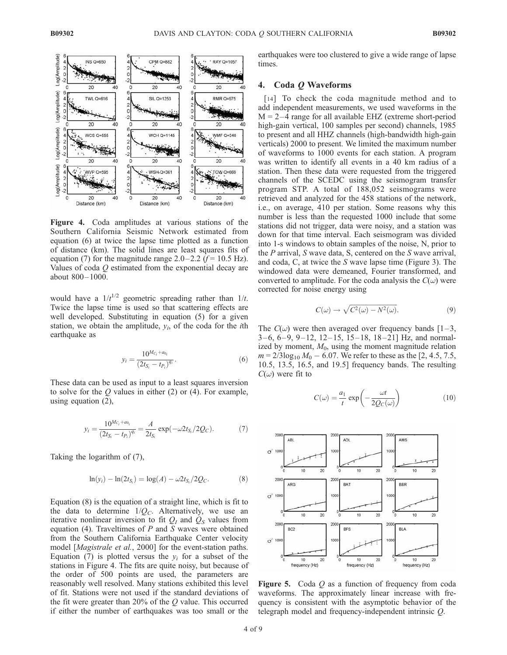

Figure 4. Coda amplitudes at various stations of the Southern California Seismic Network estimated from equation (6) at twice the lapse time plotted as a function of distance (km). The solid lines are least squares fits of equation (7) for the magnitude range  $2.0 - 2.2$  ( $f = 10.5$  Hz). Values of coda Q estimated from the exponential decay are about 800– 1000.

would have a  $1/t^{1/2}$  geometric spreading rather than  $1/t$ . Twice the lapse time is used so that scattering effects are well developed. Substituting in equation (5) for a given station, we obtain the amplitude,  $y_i$ , of the coda for the *i*th earthquake as

$$
y_i = \frac{10^{M_{C_i} + a_{0_i}}}{\left(2t_{S_i} - t_{P_i}\right)^{q_i}}.\tag{6}
$$

These data can be used as input to a least squares inversion to solve for the  $Q$  values in either (2) or (4). For example, using equation (2),

$$
y_i = \frac{10^{M_{C_i} + a_{0_i}}}{(2t_{S_i} - t_{P_i})^{q_i}} = \frac{A}{2t_{S_i}} \exp(-\omega 2t_{S_i}/2Q_C).
$$
 (7)

Taking the logarithm of (7),

$$
\ln(y_i) - \ln(2t_{S_i}) = \log(A) - \omega 2t_{S_i}/2Q_C.
$$
 (8)

Equation (8) is the equation of a straight line, which is fit to the data to determine  $1/Q_C$ . Alternatively, we use an iterative nonlinear inversion to fit  $Q_I$  and  $Q_S$  values from equation (4). Traveltimes of  $P$  and  $S$  waves were obtained from the Southern California Earthquake Center velocity model [*Magistrale et al.*, 2000] for the event-station paths. Equation (7) is plotted versus the  $v_i$  for a subset of the stations in Figure 4. The fits are quite noisy, but because of the order of 500 points are used, the parameters are reasonably well resolved. Many stations exhibited this level of fit. Stations were not used if the standard deviations of the fit were greater than 20% of the  $Q$  value. This occurred if either the number of earthquakes was too small or the

earthquakes were too clustered to give a wide range of lapse times.

### 4. Coda Q Waveforms

[14] To check the coda magnitude method and to add independent measurements, we used waveforms in the  $M = 2-4$  range for all available EHZ (extreme short-period high-gain vertical, 100 samples per second) channels, 1985 to present and all HHZ channels (high-bandwidth high-gain verticals) 2000 to present. We limited the maximum number of waveforms to 1000 events for each station. A program was written to identify all events in a 40 km radius of a station. Then these data were requested from the triggered channels of the SCEDC using the seismogram transfer program STP. A total of 188,052 seismograms were retrieved and analyzed for the 458 stations of the network, i.e., on average, 410 per station. Some reasons why this number is less than the requested 1000 include that some stations did not trigger, data were noisy, and a station was down for that time interval. Each seismogram was divided into 1-s windows to obtain samples of the noise, N, prior to the  $P$  arrival,  $S$  wave data,  $S$ , centered on the  $S$  wave arrival, and coda, C, at twice the S wave lapse time (Figure 3). The windowed data were demeaned, Fourier transformed, and converted to amplitude. For the coda analysis the  $C(\omega)$  were corrected for noise energy using

$$
C(\omega) \to \sqrt{C^2(\omega) - N^2(\omega)}.
$$
\n(9)

The  $C(\omega)$  were then averaged over frequency bands [1-3,  $3-6, 6-9, 9-12, 12-15, 15-18, 18-21$  Hz, and normalized by moment,  $M_0$ , using the moment magnitude relation  $m = 2/3 \log_{10} M_0 - 6.07$ . We refer to these as the [2, 4.5, 7.5, 10.5, 13.5, 16.5, and 19.5] frequency bands. The resulting  $C(\omega)$  were fit to

$$
C(\omega) = \frac{a_1}{t} \exp\left(-\frac{\omega t}{2Q_C(\omega)}\right)
$$
 (10)



**Figure 5.** Coda  $Q$  as a function of frequency from coda waveforms. The approximately linear increase with frequency is consistent with the asymptotic behavior of the telegraph model and frequency-independent intrinsic Q.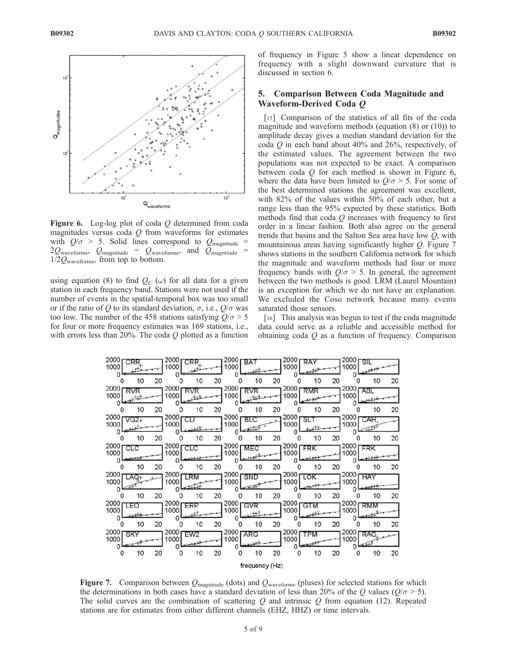

Figure 6. Log-log plot of coda  $Q$  determined from coda magnitudes versus coda  $Q$  from waveforms for estimates with  $Q/\sigma$  > 5. Solid lines correspond to  $Q_{\text{magnitude}}$  =  $2Q_{\text{waveforms}}$ ,  $Q_{\text{magnitude}} = Q_{\text{waveforms}}$ , and  $Q_{\text{magnitude}}$  $1/2Q_{\text{waveforms}}$ , from top to bottom.

using equation (8) to find  $Q_C(\omega)$  for all data for a given station in each frequency band. Stations were not used if the number of events in the spatial-temporal box was too small or if the ratio of Q to its standard deviation,  $\sigma$ , i.e.,  $Q/\sigma$  was too low. The number of the 458 stations satisfying  $Q/\sigma > 5$ for four or more frequency estimates was 169 stations, i.e., with errors less than 20%. The coda  $Q$  plotted as a function of frequency in Figure 5 show a linear dependence on frequency with a slight downward curvature that is discussed in section 6.

# 5. Comparison Between Coda Magnitude and Waveform-Derived Coda Q

[15] Comparison of the statistics of all fits of the coda magnitude and waveform methods (equation (8) or (10)) to amplitude decay gives a median standard deviation for the coda  $Q$  in each band about 40% and 26%, respectively, of the estimated values. The agreement between the two populations was not expected to be exact. A comparison between coda  $Q$  for each method is shown in Figure 6, where the data have been limited to  $Q/\sigma > 5$ . For some of the best determined stations the agreement was excellent, with 82% of the values within 50% of each other, but a range less than the 95% expected by these statistics. Both methods find that coda  $Q$  increases with frequency to first order in a linear fashion. Both also agree on the general trends that basins and the Salton Sea area have low Q, with mountainous areas having significantly higher Q. Figure 7 shows stations in the southern California network for which the magnitude and waveform methods had four or more frequency bands with  $Q/\sigma > 5$ . In general, the agreement between the two methods is good. LRM (Laurel Mountain) is an exception for which we do not have an explanation. We excluded the Coso network because many events saturated those sensors.

[16] This analysis was begun to test if the coda magnitude data could serve as a reliable and accessible method for obtaining coda  $Q$  as a function of frequency. Comparison



Figure 7. Comparison between  $Q_{\text{magnitude}}$  (dots) and  $Q_{\text{waveforms}}$  (pluses) for selected stations for which the determinations in both cases have a standard deviation of less than 20% of the Q values ( $Q/\sigma > 5$ ). The solid curves are the combination of scattering  $Q$  and intrinsic  $Q$  from equation (12). Repeated stations are for estimates from either different channels (EHZ, HHZ) or time intervals.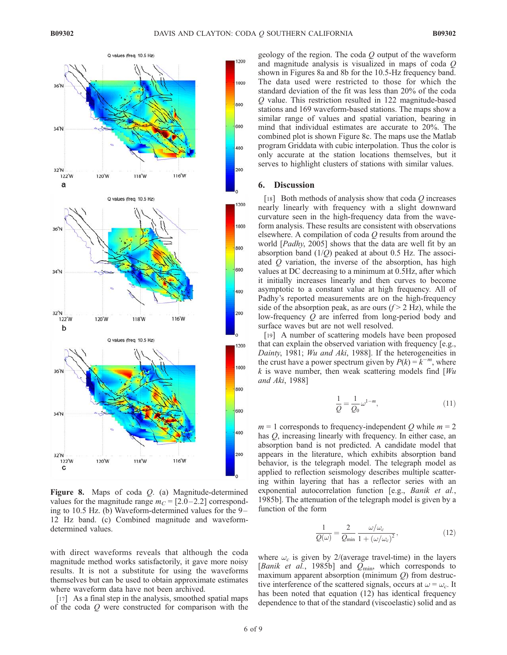

Figure 8. Maps of coda Q. (a) Magnitude-determined values for the magnitude range  $m<sub>C</sub> = [2.0 - 2.2]$  corresponding to 10.5 Hz. (b) Waveform-determined values for the 9 – 12 Hz band. (c) Combined magnitude and waveformdetermined values.

with direct waveforms reveals that although the coda magnitude method works satisfactorily, it gave more noisy results. It is not a substitute for using the waveforms themselves but can be used to obtain approximate estimates where waveform data have not been archived.

[17] As a final step in the analysis, smoothed spatial maps of the coda Q were constructed for comparison with the geology of the region. The coda Q output of the waveform and magnitude analysis is visualized in maps of coda Q shown in Figures 8a and 8b for the 10.5-Hz frequency band. The data used were restricted to those for which the standard deviation of the fit was less than 20% of the coda Q value. This restriction resulted in 122 magnitude-based stations and 169 waveform-based stations. The maps show a similar range of values and spatial variation, bearing in mind that individual estimates are accurate to 20%. The combined plot is shown Figure 8c. The maps use the Matlab program Griddata with cubic interpolation. Thus the color is only accurate at the station locations themselves, but it serves to highlight clusters of stations with similar values.

#### 6. Discussion

[18] Both methods of analysis show that coda  $Q$  increases nearly linearly with frequency with a slight downward curvature seen in the high-frequency data from the waveform analysis. These results are consistent with observations elsewhere. A compilation of coda  $Q$  results from around the world [Padhy, 2005] shows that the data are well fit by an absorption band  $(1/Q)$  peaked at about 0.5 Hz. The associated Q variation, the inverse of the absorption, has high values at DC decreasing to a minimum at 0.5Hz, after which it initially increases linearly and then curves to become asymptotic to a constant value at high frequency. All of Padhy's reported measurements are on the high-frequency side of the absorption peak, as are ours  $(f > 2$  Hz), while the low-frequency Q are inferred from long-period body and surface waves but are not well resolved.

[19] A number of scattering models have been proposed that can explain the observed variation with frequency [e.g., Dainty, 1981; Wu and Aki, 1988]. If the heterogeneities in the crust have a power spectrum given by  $P(k) = k^{-m}$ , where k is wave number, then weak scattering models find  $W_u$ and Aki, 1988]

$$
\frac{1}{Q} = \frac{1}{Q_0} \omega^{1-m},\tag{11}
$$

 $m = 1$  corresponds to frequency-independent Q while  $m = 2$ has  $Q$ , increasing linearly with frequency. In either case, an absorption band is not predicted. A candidate model that appears in the literature, which exhibits absorption band behavior, is the telegraph model. The telegraph model as applied to reflection seismology describes multiple scattering within layering that has a reflector series with an exponential autocorrelation function [e.g., *Banik et al.*, 1985b]. The attenuation of the telegraph model is given by a function of the form

$$
\frac{1}{Q(\omega)} = \frac{2}{Q_{\text{min}}} \frac{\omega/\omega_c}{1 + (\omega/\omega_c)^2},\tag{12}
$$

where  $\omega_c$  is given by 2/(average travel-time) in the layers [Banik et al., 1985b] and  $Q_{\text{min}}$ , which corresponds to maximum apparent absorption (minimum  $Q$ ) from destructive interference of the scattered signals, occurs at  $\omega = \omega_c$ . It has been noted that equation (12) has identical frequency dependence to that of the standard (viscoelastic) solid and as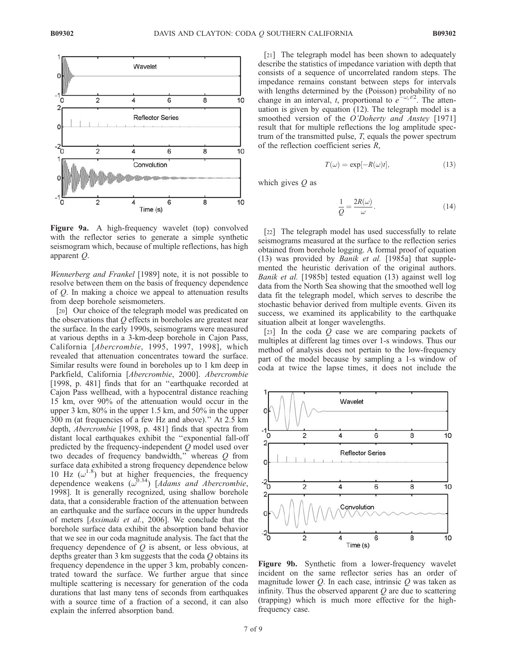

Figure 9a. A high-frequency wavelet (top) convolved with the reflector series to generate a simple synthetic seismogram which, because of multiple reflections, has high apparent Q.

Wennerberg and Frankel [1989] note, it is not possible to resolve between them on the basis of frequency dependence of Q. In making a choice we appeal to attenuation results from deep borehole seismometers.

[20] Our choice of the telegraph model was predicated on the observations that  $Q$  effects in boreholes are greatest near the surface. In the early 1990s, seismograms were measured at various depths in a 3-km-deep borehole in Cajon Pass, California [Abercrombie, 1995, 1997, 1998], which revealed that attenuation concentrates toward the surface. Similar results were found in boreholes up to 1 km deep in Parkfield, California [Abercrombie, 2000]. Abercrombie [1998, p. 481] finds that for an "earthquake recorded at Cajon Pass wellhead, with a hypocentral distance reaching 15 km, over 90% of the attenuation would occur in the upper 3 km, 80% in the upper 1.5 km, and 50% in the upper 300 m (at frequencies of a few Hz and above).'' At 2.5 km depth, Abercrombie [1998, p. 481] finds that spectra from distant local earthquakes exhibit the ''exponential fall-off predicted by the frequency-independent Q model used over two decades of frequency bandwidth,'' whereas Q from surface data exhibited a strong frequency dependence below 10 Hz  $(\omega^{1.8})$  but at higher frequencies, the frequency dependence weakens  $(\omega^{0.34})$  [Adams and Abercrombie, 1998]. It is generally recognized, using shallow borehole data, that a considerable fraction of the attenuation between an earthquake and the surface occurs in the upper hundreds of meters [Assimaki et al., 2006]. We conclude that the borehole surface data exhibit the absorption band behavior that we see in our coda magnitude analysis. The fact that the frequency dependence of  $Q$  is absent, or less obvious, at depths greater than 3 km suggests that the coda Q obtains its frequency dependence in the upper 3 km, probably concentrated toward the surface. We further argue that since multiple scattering is necessary for generation of the coda durations that last many tens of seconds from earthquakes with a source time of a fraction of a second, it can also explain the inferred absorption band.

[21] The telegraph model has been shown to adequately describe the statistics of impedance variation with depth that consists of a sequence of uncorrelated random steps. The impedance remains constant between steps for intervals with lengths determined by the (Poisson) probability of no change in an interval, t, proportional to  $e^{-\omega_c t/2}$ . The attenuation is given by equation (12). The telegraph model is a smoothed version of the O'Doherty and Anstey [1971] result that for multiple reflections the log amplitude spectrum of the transmitted pulse, T, equals the power spectrum of the reflection coefficient series R,

$$
T(\omega) = \exp[-R(\omega)t],\tag{13}
$$

which gives  *as* 

$$
\frac{1}{Q} = \frac{2R(\omega)}{\omega}.
$$
\n(14)

[22] The telegraph model has used successfully to relate seismograms measured at the surface to the reflection series obtained from borehole logging. A formal proof of equation (13) was provided by Banik et al. [1985a] that supplemented the heuristic derivation of the original authors. Banik et al. [1985b] tested equation (13) against well log data from the North Sea showing that the smoothed well log data fit the telegraph model, which serves to describe the stochastic behavior derived from multiple events. Given its success, we examined its applicability to the earthquake situation albeit at longer wavelengths.

[23] In the coda  $Q$  case we are comparing packets of multiples at different lag times over 1-s windows. Thus our method of analysis does not pertain to the low-frequency part of the model because by sampling a 1-s window of coda at twice the lapse times, it does not include the



Figure 9b. Synthetic from a lower-frequency wavelet incident on the same reflector series has an order of magnitude lower  $Q$ . In each case, intrinsic  $Q$  was taken as infinity. Thus the observed apparent  $Q$  are due to scattering (trapping) which is much more effective for the highfrequency case.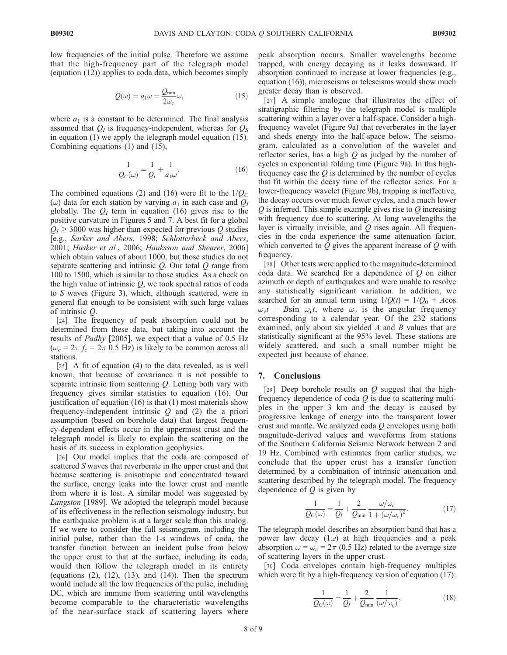low frequencies of the initial pulse. Therefore we assume that the high-frequency part of the telegraph model (equation (12)) applies to coda data, which becomes simply

$$
Q(\omega) = a_1 \omega = \frac{Q_{\min}}{2\omega_c} \omega,
$$
\n(15)

where  $a_1$  is a constant to be determined. The final analysis assumed that  $Q_I$  is frequency-independent, whereas for  $Q_S$ in equation (1) we apply the telegraph model equation (15). Combining equations (1) and (15),

$$
\frac{1}{Q_C(\omega)} = \frac{1}{Q_I} + \frac{1}{a_1\omega}.
$$
 (16)

The combined equations (2) and (16) were fit to the  $1/Q_C$  $(\omega)$  data for each station by varying  $a_1$  in each case and  $Q_1$ globally. The  $Q_I$  term in equation (16) gives rise to the positive curvature in Figures 5 and 7. A best fit for a global  $Q_I \geq 3000$  was higher than expected for previous Q studies [e.g., Sarker and Abers, 1998; Schlotterbeck and Abers, 2001; Husker et al., 2006; Hauksson and Shearer, 2006] which obtain values of about 1000, but those studies do not separate scattering and intrinsic  $Q$ . Our total  $Q$  range from 100 to 1500, which is similar to those studies. As a check on the high value of intrinsic  $Q$ , we took spectral ratios of coda to S waves (Figure 3), which, although scattered, were in general flat enough to be consistent with such large values of intrinsic Q.

[24] The frequency of peak absorption could not be determined from these data, but taking into account the results of Padhy [2005], we expect that a value of 0.5 Hz  $(\omega_c = 2\pi f_c = 2\pi 0.5 \text{ Hz})$  is likely to be common across all stations.

[25] A fit of equation (4) to the data revealed, as is well known, that because of covariance it is not possible to separate intrinsic from scattering Q. Letting both vary with frequency gives similar statistics to equation (16). Our justification of equation (16) is that (1) most materials show frequency-independent intrinsic  $Q$  and  $(2)$  the a priori assumption (based on borehole data) that largest frequency-dependent effects occur in the uppermost crust and the telegraph model is likely to explain the scattering on the basis of its success in exploration geophysics.

[26] Our model implies that the coda are composed of scattered S waves that reverberate in the upper crust and that because scattering is anisotropic and concentrated toward the surface, energy leaks into the lower crust and mantle from where it is lost. A similar model was suggested by Langston [1989]. We adopted the telegraph model because of its effectiveness in the reflection seismology industry, but the earthquake problem is at a larger scale than this analog. If we were to consider the full seismogram, including the initial pulse, rather than the 1-s windows of coda, the transfer function between an incident pulse from below the upper crust to that at the surface, including its coda, would then follow the telegraph model in its entirety (equations  $(2)$ ,  $(12)$ ,  $(13)$ , and  $(14)$ ). Then the spectrum would include all the low frequencies of the pulse, including DC, which are immune from scattering until wavelengths become comparable to the characteristic wavelengths of the near-surface stack of scattering layers where

peak absorption occurs. Smaller wavelengths become trapped, with energy decaying as it leaks downward. If absorption continued to increase at lower frequencies (e.g., equation (16)), microseisms or teleseisms would show much greater decay than is observed.

[27] A simple analogue that illustrates the effect of stratigraphic filtering by the telegraph model is multiple scattering within a layer over a half-space. Consider a highfrequency wavelet (Figure 9a) that reverberates in the layer and sheds energy into the half-space below. The seismogram, calculated as a convolution of the wavelet and reflector series, has a high  $Q$  as judged by the number of cycles in exponential folding time (Figure 9a). In this highfrequency case the  $Q$  is determined by the number of cycles that fit within the decay time of the reflector series. For a lower-frequency wavelet (Figure 9b), trapping is ineffective, the decay occurs over much fewer cycles, and a much lower  $Q$  is inferred. This simple example gives rise to  $Q$  increasing with frequency due to scattering. At long wavelengths the layer is virtually invisible, and  $Q$  rises again. All frequencies in the coda experience the same attenuation factor, which converted to  $Q$  gives the apparent increase of  $Q$  with frequency.

[28] Other tests were applied to the magnitude-determined coda data. We searched for a dependence of  $Q$  on either azimuth or depth of earthquakes and were unable to resolve any statistically significant variation. In addition, we searched for an annual term using  $1/Q(t) = 1/Q_0 + A\cos$  $\omega_{y}t$  + Bsin  $\omega_{y}t$ , where  $\omega_{y}$  is the angular frequency corresponding to a calendar year. Of the 232 stations examined, only about six yielded  $A$  and  $B$  values that are statistically significant at the 95% level. These stations are widely scattered, and such a small number might be expected just because of chance.

#### 7. Conclusions

[29] Deep borehole results on  $Q$  suggest that the highfrequency dependence of coda  $Q$  is due to scattering multiples in the upper 3 km and the decay is caused by progressive leakage of energy into the transparent lower crust and mantle. We analyzed coda Q envelopes using both magnitude-derived values and waveforms from stations of the Southern California Seismic Network between 2 and 19 Hz. Combined with estimates from earlier studies, we conclude that the upper crust has a transfer function determined by a combination of intrinsic attenuation and scattering described by the telegraph model. The frequency dependence of  $Q$  is given by

$$
\frac{1}{Q_C(\omega)} = \frac{1}{Q_I} + \frac{2}{Q_{\text{min}}} \frac{\omega/\omega_c}{1 + (\omega/\omega_c)^2}.
$$
 (17)

The telegraph model describes an absorption band that has a power law decay  $(1\omega)$  at high frequencies and a peak absorption  $\omega = \omega_c = 2\pi (0.5 \text{ Hz})$  related to the average size of scattering layers in the upper crust.

[30] Coda envelopes contain high-frequency multiples which were fit by a high-frequency version of equation (17):

$$
\frac{1}{Q_C(\omega)} = \frac{1}{Q_I} + \frac{2}{Q_{\min}} \frac{1}{(\omega/\omega_c)},
$$
\n(18)